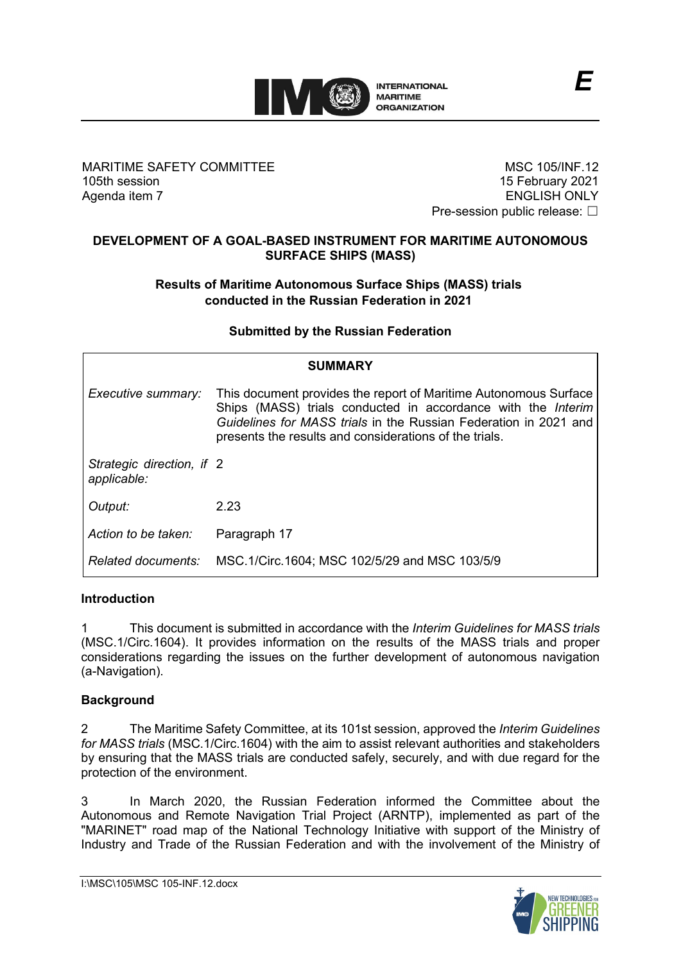

MARITIME SAFETY COMMITTEE 105th session Agenda item 7

MSC 105/INF.12 15 February 2021 ENGLISH ONLY Pre-session public release: □

## **DEVELOPMENT OF A GOAL-BASED INSTRUMENT FOR MARITIME AUTONOMOUS SURFACE SHIPS (MASS)**

# **Results of Maritime Autonomous Surface Ships (MASS) trials conducted in the Russian Federation in 2021**

## **Submitted by the Russian Federation**

| <b>SUMMARY</b>                           |                                                                                                                                                                                                                                                                |
|------------------------------------------|----------------------------------------------------------------------------------------------------------------------------------------------------------------------------------------------------------------------------------------------------------------|
| Executive summary:                       | This document provides the report of Maritime Autonomous Surface<br>Ships (MASS) trials conducted in accordance with the Interim<br>Guidelines for MASS trials in the Russian Federation in 2021 and<br>presents the results and considerations of the trials. |
| Strategic direction, if 2<br>applicable: |                                                                                                                                                                                                                                                                |
| Output:                                  | 2.23                                                                                                                                                                                                                                                           |
| Action to be taken:                      | Paragraph 17                                                                                                                                                                                                                                                   |
| <b>Related documents:</b>                | MSC.1/Circ.1604; MSC 102/5/29 and MSC 103/5/9                                                                                                                                                                                                                  |

## **Introduction**

1 This document is submitted in accordance with the *Interim Guidelines for MASS trials* (MSC.1/Circ.1604). It provides information on the results of the MASS trials and proper considerations regarding the issues on the further development of autonomous navigation (a-Navigation).

# **Background**

2 The Maritime Safety Committee, at its 101st session, approved the *Interim Guidelines for MASS trials* (MSC.1/Circ.1604) with the aim to assist relevant authorities and stakeholders by ensuring that the MASS trials are conducted safely, securely, and with due regard for the protection of the environment.

3 In March 2020, the Russian Federation informed the Committee about the Autonomous and Remote Navigation Trial Project (ARNTP), implemented as part of the "MARINET" road map of the National Technology Initiative with support of the Ministry of Industry and Trade of the Russian Federation and with the involvement of the Ministry of

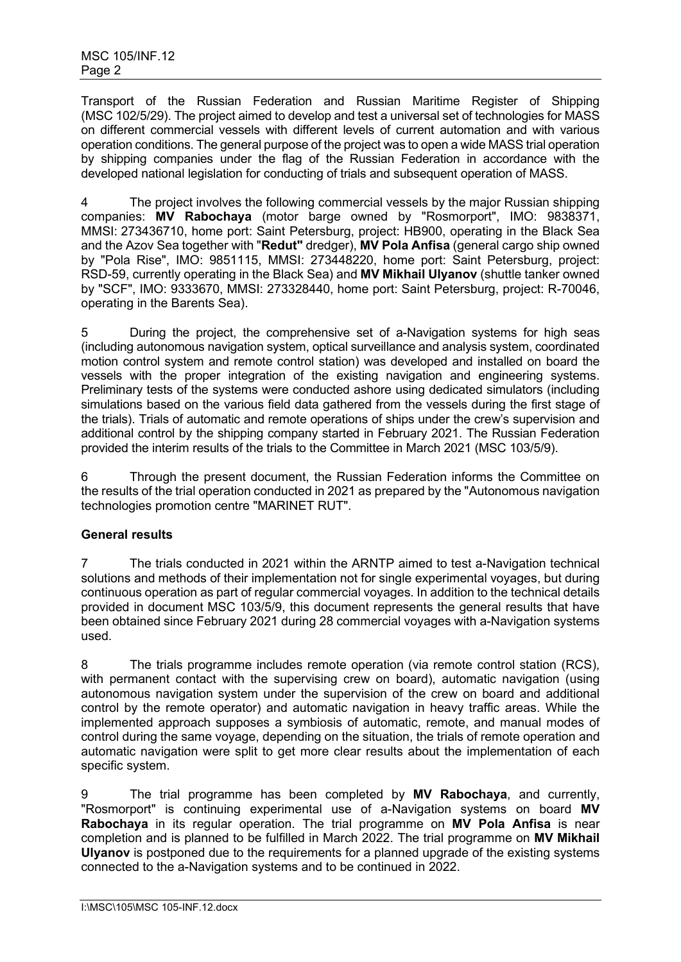Transport of the Russian Federation and Russian Maritime Register of Shipping (MSC 102/5/29). The project aimed to develop and test a universal set of technologies for MASS on different commercial vessels with different levels of current automation and with various operation conditions. The general purpose of the project was to open a wide MASS trial operation by shipping companies under the flag of the Russian Federation in accordance with the developed national legislation for conducting of trials and subsequent operation of MASS.

4 The project involves the following commercial vessels by the major Russian shipping companies: **MV Rabochaya** (motor barge owned by "Rosmorport", IMO: 9838371, MMSI: 273436710, home port: Saint Petersburg, project: HB900, operating in the Black Sea and the Azov Sea together with "**Redut"** dredger), **MV Pola Anfisa** (general cargo ship owned by "Pola Rise", IMO: 9851115, MMSI: 273448220, home port: Saint Petersburg, project: RSD-59, currently operating in the Black Sea) and **MV Mikhail Ulyanov** (shuttle tanker owned by "SCF", IMO: 9333670, MMSI: 273328440, home port: Saint Petersburg, project: R-70046, operating in the Barents Sea).

5 During the project, the comprehensive set of a-Navigation systems for high seas (including autonomous navigation system, optical surveillance and analysis system, coordinated motion control system and remote control station) was developed and installed on board the vessels with the proper integration of the existing navigation and engineering systems. Preliminary tests of the systems were conducted ashore using dedicated simulators (including simulations based on the various field data gathered from the vessels during the first stage of the trials). Trials of automatic and remote operations of ships under the crew's supervision and additional control by the shipping company started in February 2021. The Russian Federation provided the interim results of the trials to the Committee in March 2021 (MSC 103/5/9).

6 Through the present document, the Russian Federation informs the Committee on the results of the trial operation conducted in 2021 as prepared by the "Autonomous navigation technologies promotion centre "MARINET RUT".

# **General results**

7 The trials conducted in 2021 within the ARNTP aimed to test a-Navigation technical solutions and methods of their implementation not for single experimental voyages, but during continuous operation as part of regular commercial voyages. In addition to the technical details provided in document MSC 103/5/9, this document represents the general results that have been obtained since February 2021 during 28 commercial voyages with a-Navigation systems used.

8 The trials programme includes remote operation (via remote control station (RCS), with permanent contact with the supervising crew on board), automatic navigation (using autonomous navigation system under the supervision of the crew on board and additional control by the remote operator) and automatic navigation in heavy traffic areas. While the implemented approach supposes a symbiosis of automatic, remote, and manual modes of control during the same voyage, depending on the situation, the trials of remote operation and automatic navigation were split to get more clear results about the implementation of each specific system.

9 The trial programme has been completed by **MV Rabochaya**, and currently, "Rosmorport" is continuing experimental use of a-Navigation systems on board **MV Rabochaya** in its regular operation. The trial programme on **MV Pola Anfisa** is near completion and is planned to be fulfilled in March 2022. The trial programme on **MV Mikhail Ulyanov** is postponed due to the requirements for a planned upgrade of the existing systems connected to the a-Navigation systems and to be continued in 2022.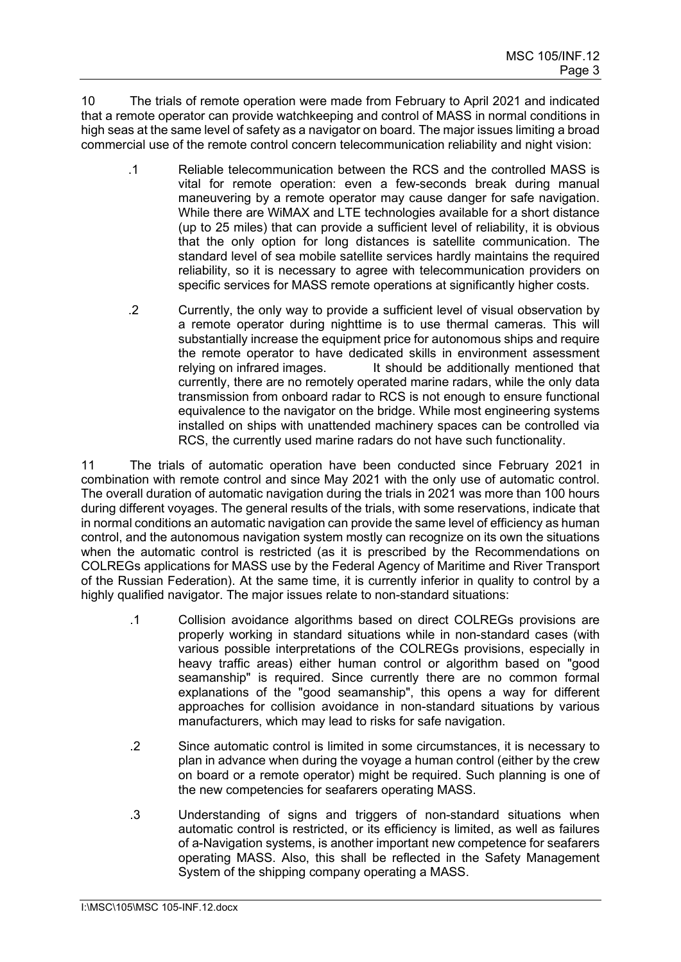10 The trials of remote operation were made from February to April 2021 and indicated that a remote operator can provide watchkeeping and control of MASS in normal conditions in high seas at the same level of safety as a navigator on board. The major issues limiting a broad commercial use of the remote control concern telecommunication reliability and night vision:

- .1 Reliable telecommunication between the RCS and the controlled MASS is vital for remote operation: even a few-seconds break during manual maneuvering by a remote operator may cause danger for safe navigation. While there are WiMAX and LTE technologies available for a short distance (up to 25 miles) that can provide a sufficient level of reliability, it is obvious that the only option for long distances is satellite communication. The standard level of sea mobile satellite services hardly maintains the required reliability, so it is necessary to agree with telecommunication providers on specific services for MASS remote operations at significantly higher costs.
- .2 Currently, the only way to provide a sufficient level of visual observation by a remote operator during nighttime is to use thermal cameras. This will substantially increase the equipment price for autonomous ships and require the remote operator to have dedicated skills in environment assessment relying on infrared images.<br>It should be additionally mentioned that It should be additionally mentioned that currently, there are no remotely operated marine radars, while the only data transmission from onboard radar to RCS is not enough to ensure functional equivalence to the navigator on the bridge. While most engineering systems installed on ships with unattended machinery spaces can be controlled via RCS, the currently used marine radars do not have such functionality.

11 The trials of automatic operation have been conducted since February 2021 in combination with remote control and since May 2021 with the only use of automatic control. The overall duration of automatic navigation during the trials in 2021 was more than 100 hours during different voyages. The general results of the trials, with some reservations, indicate that in normal conditions an automatic navigation can provide the same level of efficiency as human control, and the autonomous navigation system mostly can recognize on its own the situations when the automatic control is restricted (as it is prescribed by the Recommendations on COLREGs applications for MASS use by the Federal Agency of Maritime and River Transport of the Russian Federation). At the same time, it is currently inferior in quality to control by a highly qualified navigator. The major issues relate to non-standard situations:

- .1 Collision avoidance algorithms based on direct COLREGs provisions are properly working in standard situations while in non-standard cases (with various possible interpretations of the COLREGs provisions, especially in heavy traffic areas) either human control or algorithm based on "good seamanship" is required. Since currently there are no common formal explanations of the "good seamanship", this opens a way for different approaches for collision avoidance in non-standard situations by various manufacturers, which may lead to risks for safe navigation.
- .2 Since automatic control is limited in some circumstances, it is necessary to plan in advance when during the voyage a human control (either by the crew on board or a remote operator) might be required. Such planning is one of the new competencies for seafarers operating MASS.
- .3 Understanding of signs and triggers of non-standard situations when automatic control is restricted, or its efficiency is limited, as well as failures of a-Navigation systems, is another important new competence for seafarers operating MASS. Also, this shall be reflected in the Safety Management System of the shipping company operating a MASS.